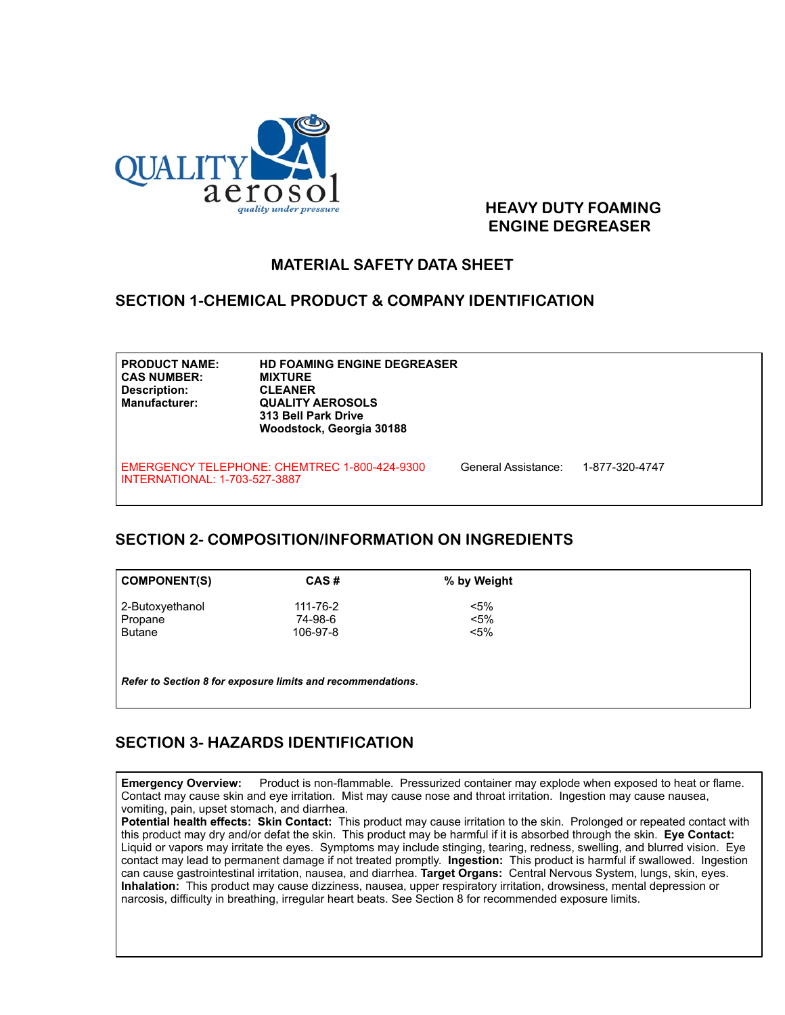

#### **HEAVY DUTY FOAMING ENGINE DEGREASER**

### **MATERIAL SAFETY DATA SHEET**

#### **SECTION 1-CHEMICAL PRODUCT & COMPANY IDENTIFICATION**

| <b>PRODUCT NAME:</b><br><b>CAS NUMBER:</b><br><b>Description:</b><br><b>Manufacturer:</b> | <b>HD FOAMING ENGINE DEGREASER</b><br><b>MIXTURE</b><br><b>CLEANER</b><br><b>QUALITY AEROSOLS</b><br><b>313 Bell Park Drive</b><br>Woodstock, Georgia 30188 |                     |                |  |
|-------------------------------------------------------------------------------------------|-------------------------------------------------------------------------------------------------------------------------------------------------------------|---------------------|----------------|--|
| INTERNATIONAL: 1-703-527-3887                                                             | EMERGENCY TELEPHONE: CHEMTREC 1-800-424-9300                                                                                                                | General Assistance: | 1-877-320-4747 |  |

#### **SECTION 2- COMPOSITION/INFORMATION ON INGREDIENTS**

| <b>COMPONENT(S)</b>                                         | CAS#     | % by Weight |  |  |  |  |  |
|-------------------------------------------------------------|----------|-------------|--|--|--|--|--|
| 2-Butoxyethanol                                             | 111-76-2 | $< 5\%$     |  |  |  |  |  |
| Propane                                                     | 74-98-6  | $< 5\%$     |  |  |  |  |  |
| <b>Butane</b>                                               | 106-97-8 | $<$ 5%      |  |  |  |  |  |
|                                                             |          |             |  |  |  |  |  |
|                                                             |          |             |  |  |  |  |  |
| Refer to Section 8 for exposure limits and recommendations. |          |             |  |  |  |  |  |

## **SECTION 3- HAZARDS IDENTIFICATION**

Rev 11/11

**Emergency Overview:** Product is non-flammable. Pressurized container may explode when exposed to heat or flame. Contact may cause skin and eye irritation. Mist may cause nose and throat irritation. Ingestion may cause nausea, vomiting, pain, upset stomach, and diarrhea.

**Potential health effects: Skin Contact:** This product may cause irritation to the skin. Prolonged or repeated contact with this product may dry and/or defat the skin. This product may be harmful if it is absorbed through the skin. **Eye Contact:**  Liquid or vapors may irritate the eyes. Symptoms may include stinging, tearing, redness, swelling, and blurred vision. Eye contact may lead to permanent damage if not treated promptly. **Ingestion:** This product is harmful if swallowed. Ingestion can cause gastrointestinal irritation, nausea, and diarrhea. **Target Organs:** Central Nervous System, lungs, skin, eyes. **Inhalation:** This product may cause dizziness, nausea, upper respiratory irritation, drowsiness, mental depression or narcosis, difficulty in breathing, irregular heart beats. See Section 8 for recommended exposure limits.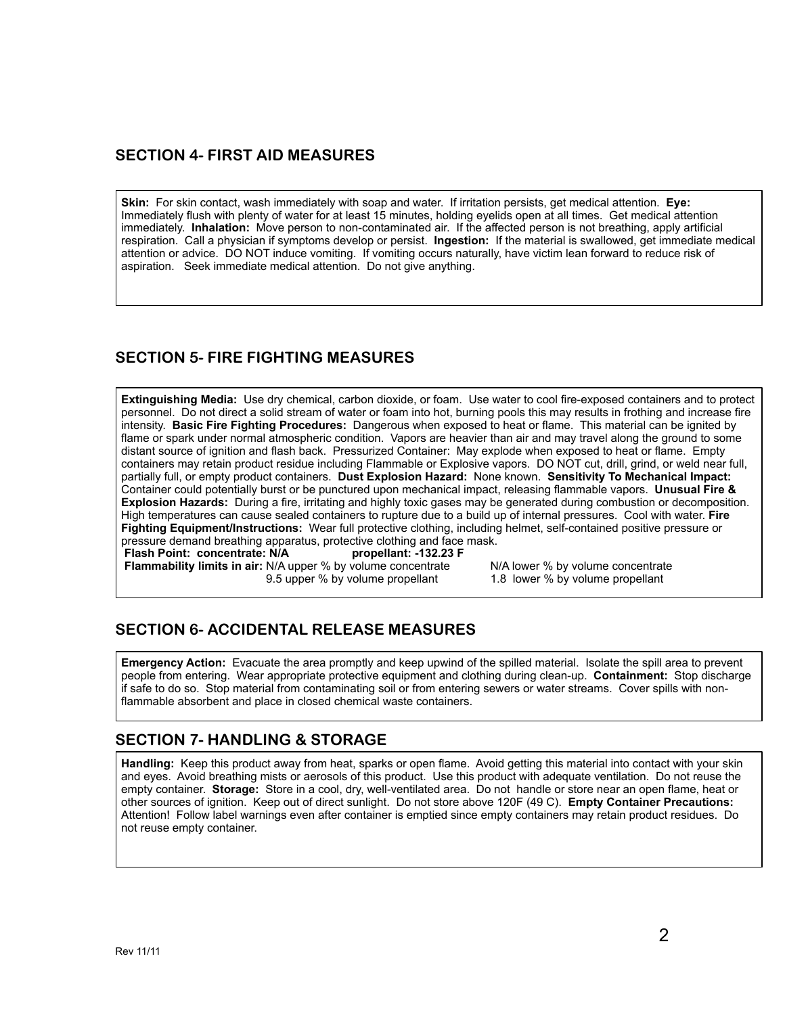#### **SECTION 4- FIRST AID MEASURES**

**Skin:** For skin contact, wash immediately with soap and water. If irritation persists, get medical attention. **Eye:** Immediately flush with plenty of water for at least 15 minutes, holding eyelids open at all times. Get medical attention immediately. **Inhalation:** Move person to non-contaminated air. If the affected person is not breathing, apply artificial respiration. Call a physician if symptoms develop or persist. **Ingestion:** If the material is swallowed, get immediate medical attention or advice. DO NOT induce vomiting. If vomiting occurs naturally, have victim lean forward to reduce risk of aspiration. Seek immediate medical attention. Do not give anything.

# **SECTION 5- FIRE FIGHTING MEASURES**

**Extinguishing Media:** Use dry chemical, carbon dioxide, or foam. Use water to cool fire-exposed containers and to protect personnel. Do not direct a solid stream of water or foam into hot, burning pools this may results in frothing and increase fire intensity. **Basic Fire Fighting Procedures:** Dangerous when exposed to heat or flame. This material can be ignited by flame or spark under normal atmospheric condition. Vapors are heavier than air and may travel along the ground to some distant source of ignition and flash back. Pressurized Container: May explode when exposed to heat or flame. Empty containers may retain product residue including Flammable or Explosive vapors. DO NOT cut, drill, grind, or weld near full, partially full, or empty product containers. **Dust Explosion Hazard:** None known. **Sensitivity To Mechanical Impact:**  Container could potentially burst or be punctured upon mechanical impact, releasing flammable vapors. **Unusual Fire & Explosion Hazards:** During a fire, irritating and highly toxic gases may be generated during combustion or decomposition. High temperatures can cause sealed containers to rupture due to a build up of internal pressures. Cool with water. **Fire Fighting Equipment/Instructions:** Wear full protective clothing, including helmet, self-contained positive pressure or pressure demand breathing apparatus, protective clothing and face mask.<br>Flash Point: concentrate: N/A propellant: -132.23 F

**Flash Point: concentrate: N/A Flammability limits in air:** N/A upper % by volume concentrate N/A lower % by volume concentrate 9.5 upper % by volume propellant 1.8 lower % by volume propellant 9.5 upper % by volume propellant

# **SECTION 6- ACCIDENTAL RELEASE MEASURES**

**Emergency Action:** Evacuate the area promptly and keep upwind of the spilled material. Isolate the spill area to prevent people from entering. Wear appropriate protective equipment and clothing during clean-up. **Containment:** Stop discharge if safe to do so. Stop material from contaminating soil or from entering sewers or water streams. Cover spills with nonflammable absorbent and place in closed chemical waste containers.

## **SECTION 7- HANDLING & STORAGE**

**Handling:** Keep this product away from heat, sparks or open flame. Avoid getting this material into contact with your skin and eyes. Avoid breathing mists or aerosols of this product. Use this product with adequate ventilation. Do not reuse the empty container. **Storage:** Store in a cool, dry, well-ventilated area. Do not handle or store near an open flame, heat or other sources of ignition. Keep out of direct sunlight. Do not store above 120F (49 C). **Empty Container Precautions:**  Attention! Follow label warnings even after container is emptied since empty containers may retain product residues. Do not reuse empty container.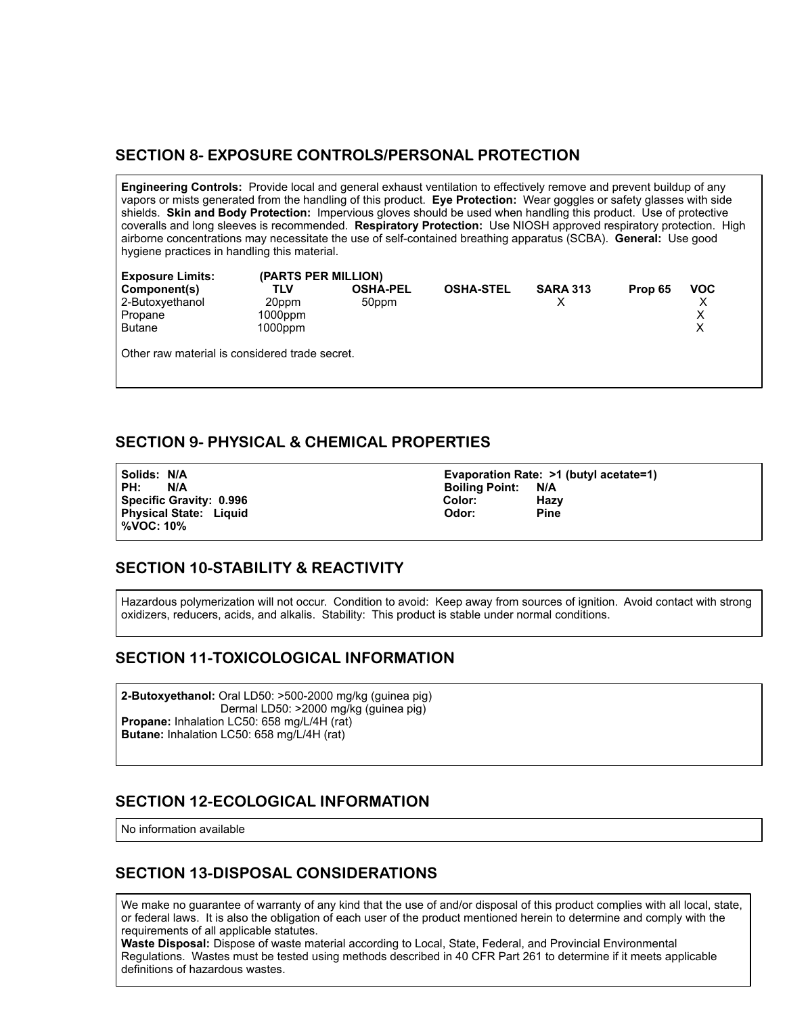#### **SECTION 8- EXPOSURE CONTROLS/PERSONAL PROTECTION**

**Engineering Controls:** Provide local and general exhaust ventilation to effectively remove and prevent buildup of any vapors or mists generated from the handling of this product. **Eye Protection:** Wear goggles or safety glasses with side shields. **Skin and Body Protection:** Impervious gloves should be used when handling this product. Use of protective coveralls and long sleeves is recommended. **Respiratory Protection:** Use NIOSH approved respiratory protection. High airborne concentrations may necessitate the use of self-contained breathing apparatus (SCBA). **General:** Use good hygiene practices in handling this material.

| <b>Exposure Limits:</b>                        | (PARTS PER MILLION) |                 |                  |                 |         |            |
|------------------------------------------------|---------------------|-----------------|------------------|-----------------|---------|------------|
| Component(s)                                   | TLV                 | <b>OSHA-PEL</b> | <b>OSHA-STEL</b> | <b>SARA 313</b> | Prop 65 | <b>VOC</b> |
| 2-Butoxyethanol                                | 20ppm               | 50ppm           |                  |                 |         |            |
| Propane                                        | 1000ppm             |                 |                  |                 |         |            |
| <b>Butane</b>                                  | 1000ppm             |                 |                  |                 |         | х          |
| Other raw material is considered trade secret. |                     |                 |                  |                 |         |            |

### **SECTION 9- PHYSICAL & CHEMICAL PROPERTIES**

PH: N/A Boiling Point: N/A **Specific Gravity: 0.996 Color: Hazy Physical State: Liquid %VOC: 10%** 

**Solids: N/A Evaporation Rate: >1 (butyl acetate=1)**

## **SECTION 10-STABILITY & REACTIVITY**

Hazardous polymerization will not occur. Condition to avoid: Keep away from sources of ignition. Avoid contact with strong oxidizers, reducers, acids, and alkalis. Stability: This product is stable under normal conditions.

#### **SECTION 11-TOXICOLOGICAL INFORMATION**

**2-Butoxyethanol:** Oral LD50: >500-2000 mg/kg (guinea pig) Dermal LD50: >2000 mg/kg (guinea pig) **Propane:** Inhalation LC50: 658 mg/L/4H (rat) **Butane:** Inhalation LC50: 658 mg/L/4H (rat)

#### **SECTION 12-ECOLOGICAL INFORMATION**

No information available

## **SECTION 13-DISPOSAL CONSIDERATIONS**

We make no guarantee of warranty of any kind that the use of and/or disposal of this product complies with all local, state, or federal laws. It is also the obligation of each user of the product mentioned herein to determine and comply with the requirements of all applicable statutes.

requirements of all applicable statutes.<br>**Waste Disposal:** Dispose of waste material according to Local, State, Federal, and Provincial Environmental Regulations. Wastes must be tested using methods described in 40 CFR Part 261 to determine if it meets applicable definitions of hazardous wastes.